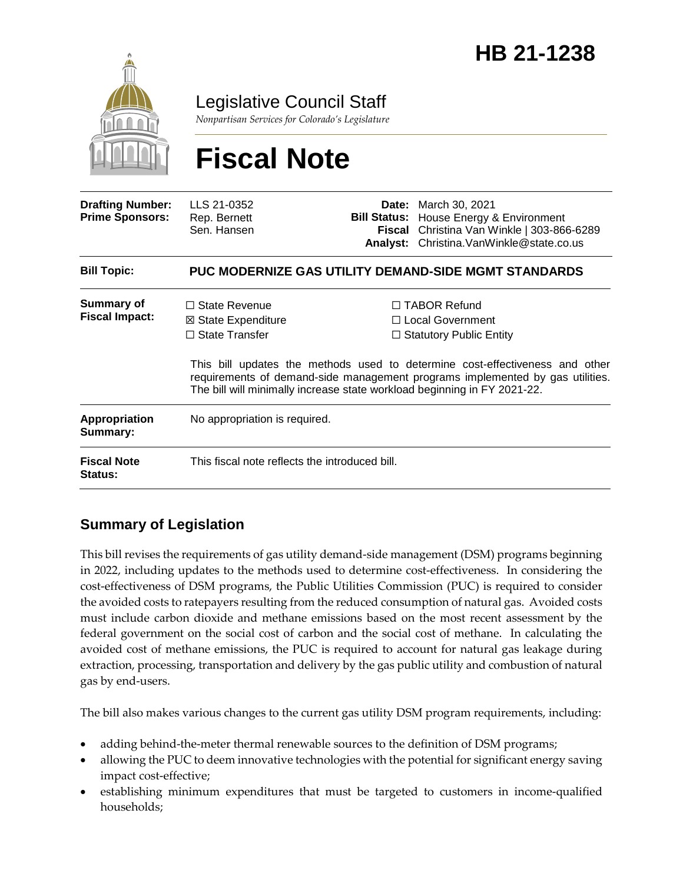

### Legislative Council Staff

*Nonpartisan Services for Colorado's Legislature*

# **Fiscal Note**

| <b>Drafting Number:</b><br><b>Prime Sponsors:</b> | LLS 21-0352<br>Rep. Bernett<br>Sen. Hansen                           |  | <b>Date:</b> March 30, 2021<br><b>Bill Status:</b> House Energy & Environment<br>Fiscal Christina Van Winkle   303-866-6289<br>Analyst: Christina. Van Winkle@state.co.us                                                                                                                                                |
|---------------------------------------------------|----------------------------------------------------------------------|--|--------------------------------------------------------------------------------------------------------------------------------------------------------------------------------------------------------------------------------------------------------------------------------------------------------------------------|
| <b>Bill Topic:</b>                                | <b>PUC MODERNIZE GAS UTILITY DEMAND-SIDE MGMT STANDARDS</b>          |  |                                                                                                                                                                                                                                                                                                                          |
| <b>Summary of</b><br><b>Fiscal Impact:</b>        | $\Box$ State Revenue<br>⊠ State Expenditure<br>$\Box$ State Transfer |  | $\Box$ TABOR Refund<br>□ Local Government<br>$\Box$ Statutory Public Entity<br>This bill updates the methods used to determine cost-effectiveness and other<br>requirements of demand-side management programs implemented by gas utilities.<br>The bill will minimally increase state workload beginning in FY 2021-22. |
| Appropriation<br>Summary:                         | No appropriation is required.                                        |  |                                                                                                                                                                                                                                                                                                                          |
| <b>Fiscal Note</b><br><b>Status:</b>              | This fiscal note reflects the introduced bill.                       |  |                                                                                                                                                                                                                                                                                                                          |

#### **Summary of Legislation**

This bill revises the requirements of gas utility demand-side management (DSM) programs beginning in 2022, including updates to the methods used to determine cost-effectiveness. In considering the cost-effectiveness of DSM programs, the Public Utilities Commission (PUC) is required to consider the avoided costs to ratepayers resulting from the reduced consumption of natural gas. Avoided costs must include carbon dioxide and methane emissions based on the most recent assessment by the federal government on the social cost of carbon and the social cost of methane. In calculating the avoided cost of methane emissions, the PUC is required to account for natural gas leakage during extraction, processing, transportation and delivery by the gas public utility and combustion of natural gas by end-users.

The bill also makes various changes to the current gas utility DSM program requirements, including:

- adding behind-the-meter thermal renewable sources to the definition of DSM programs;
- allowing the PUC to deem innovative technologies with the potential for significant energy saving impact cost-effective;
- establishing minimum expenditures that must be targeted to customers in income-qualified households;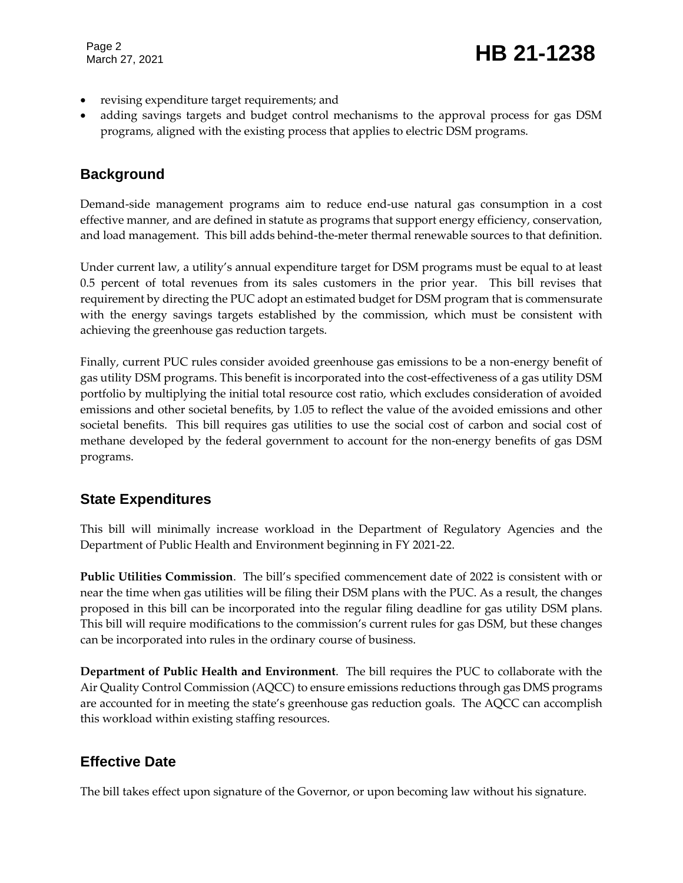Page 2

- revising expenditure target requirements; and
- adding savings targets and budget control mechanisms to the approval process for gas DSM programs, aligned with the existing process that applies to electric DSM programs.

#### **Background**

Demand-side management programs aim to reduce end-use natural gas consumption in a cost effective manner, and are defined in statute as programs that support energy efficiency, conservation, and load management. This bill adds behind-the-meter thermal renewable sources to that definition.

Under current law, a utility's annual expenditure target for DSM programs must be equal to at least 0.5 percent of total revenues from its sales customers in the prior year. This bill revises that requirement by directing the PUC adopt an estimated budget for DSM program that is commensurate with the energy savings targets established by the commission, which must be consistent with achieving the greenhouse gas reduction targets.

Finally, current PUC rules consider avoided greenhouse gas emissions to be a non-energy benefit of gas utility DSM programs. This benefit is incorporated into the cost-effectiveness of a gas utility DSM portfolio by multiplying the initial total resource cost ratio, which excludes consideration of avoided emissions and other societal benefits, by 1.05 to reflect the value of the avoided emissions and other societal benefits. This bill requires gas utilities to use the social cost of carbon and social cost of methane developed by the federal government to account for the non-energy benefits of gas DSM programs.

#### **State Expenditures**

This bill will minimally increase workload in the Department of Regulatory Agencies and the Department of Public Health and Environment beginning in FY 2021-22.

**Public Utilities Commission**. The bill's specified commencement date of 2022 is consistent with or near the time when gas utilities will be filing their DSM plans with the PUC. As a result, the changes proposed in this bill can be incorporated into the regular filing deadline for gas utility DSM plans. This bill will require modifications to the commission's current rules for gas DSM, but these changes can be incorporated into rules in the ordinary course of business.

**Department of Public Health and Environment**. The bill requires the PUC to collaborate with the Air Quality Control Commission (AQCC) to ensure emissions reductions through gas DMS programs are accounted for in meeting the state's greenhouse gas reduction goals. The AQCC can accomplish this workload within existing staffing resources.

#### **Effective Date**

The bill takes effect upon signature of the Governor, or upon becoming law without his signature.